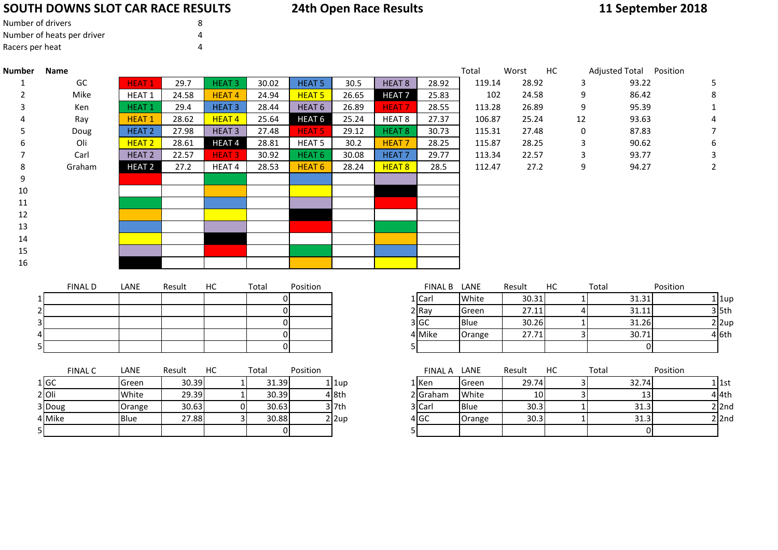### **SOUTH DOWNS SLOT CAR RACE RESULTS**

### **24th Open Race Results**

# **11 September 2018**

| Number of drivers          |  |
|----------------------------|--|
| Number of heats per driver |  |
| Racers per heat            |  |

| <b>Number</b> | <b>Name</b>    |                   |        |                         |                         |                   |                         |                   |                 | Total  | Worst           | HC | Adjusted Total Position |                           |
|---------------|----------------|-------------------|--------|-------------------------|-------------------------|-------------------|-------------------------|-------------------|-----------------|--------|-----------------|----|-------------------------|---------------------------|
|               | GC             | <b>HEAT1</b>      | 29.7   | <b>HEAT3</b>            | 30.02                   | <b>HEAT 5</b>     | 30.5                    | <b>HEAT 8</b>     | 28.92           | 119.14 | 28.92           |    | 93.22<br>3              | 5                         |
|               | Mike           | HEAT <sub>1</sub> | 24.58  | <b>HEAT4</b>            | 24.94                   | <b>HEAT 5</b>     | 26.65                   | <b>HEAT 7</b>     | 25.83           | 102    | 24.58           |    | 86.42<br>9              | 8                         |
|               | Ken            | <b>HEAT1</b>      | 29.4   | <b>HEAT3</b>            | 28.44                   | HEAT <sub>6</sub> | 26.89                   | <b>HEAT7</b>      | 28.55           | 113.28 | 26.89           |    | 9<br>95.39              | 1                         |
|               | Ray            | <b>HEAT1</b>      | 28.62  | <b>HEAT4</b>            | 25.64                   | HEAT <sub>6</sub> | 25.24                   | HEAT <sub>8</sub> | 27.37           | 106.87 | 25.24           | 12 | 93.63                   |                           |
|               | Doug           | HEAT <sub>2</sub> | 27.98  | <b>HEAT3</b>            | 27.48                   | <b>HEAT 5</b>     | 29.12                   | <b>HEAT 8</b>     | 30.73           | 115.31 | 27.48           |    | $\pmb{0}$<br>87.83      | 7                         |
|               | Oli            | HEAT <sub>2</sub> | 28.61  | HEAT <sub>4</sub>       | 28.81                   | HEAT <sub>5</sub> | 30.2                    | <b>HEAT7</b>      | 28.25           | 115.87 | 28.25           |    | 3<br>90.62              | 6                         |
|               | Carl           | HEAT <sub>2</sub> | 22.57  | <b>HEAT3</b>            | 30.92                   | HEAT <sub>6</sub> | 30.08                   | <b>HEAT7</b>      | 29.77           | 113.34 | 22.57           |    | 93.77<br>3              | 3                         |
|               | Graham         | <b>HEAT 2</b>     | 27.2   | HEAT 4                  | 28.53                   | <b>HEAT 6</b>     | 28.24                   | <b>HEAT 8</b>     | 28.5            | 112.47 | 27.2            |    | 9<br>94.27              | 2                         |
|               |                |                   |        |                         |                         |                   |                         |                   |                 |        |                 |    |                         |                           |
|               |                |                   |        |                         |                         |                   |                         |                   |                 |        |                 |    |                         |                           |
|               |                |                   |        |                         |                         |                   |                         |                   |                 |        |                 |    |                         |                           |
|               |                |                   |        |                         |                         |                   |                         |                   |                 |        |                 |    |                         |                           |
|               |                |                   |        |                         |                         |                   |                         |                   |                 |        |                 |    |                         |                           |
|               |                |                   |        |                         |                         |                   |                         |                   |                 |        |                 |    |                         |                           |
|               |                |                   |        |                         |                         |                   |                         |                   |                 |        |                 |    |                         |                           |
|               |                |                   |        |                         |                         |                   |                         |                   |                 |        |                 |    |                         |                           |
|               | <b>FINAL D</b> | LANE              | Result | HC                      | Total                   | Position          |                         |                   | <b>FINAL B</b>  | LANE   | Result          | HC | Total                   | Position                  |
|               |                |                   |        |                         | $\Omega$                |                   |                         |                   | 1 Carl          | White  | 30.31           |    | 31.31                   | $1$   1up                 |
|               |                |                   |        |                         | $\Omega$                |                   |                         |                   | $2$ Ray         | Green  | 27.11           |    | 31.11                   | $3$ 5th                   |
|               |                |                   |        |                         | $\Omega$                |                   |                         |                   | 3 GC            | Blue   | 30.26           |    | 31.26                   | $2 \vert 2 \mathrm{up}$   |
|               |                |                   |        |                         | $\overline{0}$          |                   |                         |                   | 4 Mike          | Orange | 27.71           |    | 30.71<br>3              | 4 6th                     |
|               |                |                   |        |                         | $\overline{0}$          |                   |                         |                   |                 |        |                 |    |                         | <sup>0</sup>              |
|               |                |                   |        |                         |                         |                   |                         |                   |                 |        |                 |    |                         |                           |
|               | <b>FINAL C</b> | LANE              | Result | HC                      | Total                   | Position          |                         |                   | FINAL A LANE    |        | Result          | HC | Total                   | Position                  |
|               | 1 GC           | Green             | 30.39  | $\mathbf{1}$            | 31.39                   |                   | 1 1up                   |                   | $1$ Ken         | Green  | 29.74           |    | 32.74<br>$\overline{3}$ | $1$ 1st                   |
|               | $2$ Oli        | White             | 29.39  | $1\overline{ }$         | 30.39                   |                   | 4 8th                   |                   | 2 Graham        | White  | 10 <sup>1</sup> |    | 13<br>$\overline{3}$    | $4$ 4th                   |
|               |                | Orange            | 30.63  | $\overline{0}$          | 30.63                   |                   | $3$ 7th                 |                   | 3 Carl          | Blue   | 30.3            |    | 31.3                    | $2$ 2nd                   |
|               | 3 Doug         |                   |        |                         |                         |                   |                         |                   |                 |        |                 |    |                         |                           |
|               | 4 Mike         | Blue              | 27.88  | $\overline{\mathbf{3}}$ | 30.88<br>$\overline{0}$ |                   | $2 \vert 2 \mathrm{up}$ |                   | 4 <sub>GC</sub> | Orange | 30.3            |    | 31.3                    | $2$ 2nd<br>$\overline{0}$ |